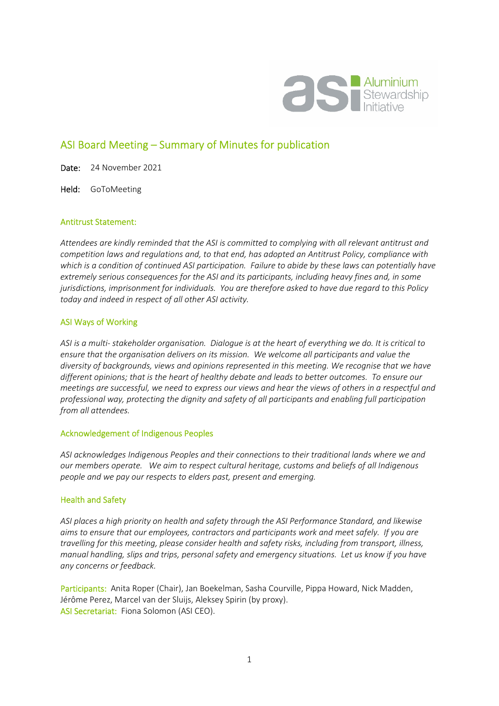

# ASI Board Meeting – Summary of Minutes for publication

Date: 24 November 2021

Held: GoToMeeting

### Antitrust Statement:

*Attendees are kindly reminded that the ASI is committed to complying with all relevant antitrust and competition laws and regulations and, to that end, has adopted an Antitrust Policy, compliance with which is a condition of continued ASI participation. Failure to abide by these laws can potentially have extremely serious consequences for the ASI and its participants, including heavy fines and, in some jurisdictions, imprisonment for individuals. You are therefore asked to have due regard to this Policy today and indeed in respect of all other ASI activity.* 

#### ASI Ways of Working

*ASI is a multi- stakeholder organisation. Dialogue is at the heart of everything we do. It is critical to ensure that the organisation delivers on its mission. We welcome all participants and value the diversity of backgrounds, views and opinions represented in this meeting. We recognise that we have different opinions; that is the heart of healthy debate and leads to better outcomes. To ensure our meetings are successful, we need to express our views and hear the views of others in a respectful and professional way, protecting the dignity and safety of all participants and enabling full participation from all attendees.* 

### Acknowledgement of Indigenous Peoples

*ASI acknowledges Indigenous Peoples and their connections to their traditional lands where we and our members operate. We aim to respect cultural heritage, customs and beliefs of all Indigenous people and we pay our respects to elders past, present and emerging.* 

### Health and Safety

*ASI places a high priority on health and safety through the ASI Performance Standard, and likewise aims to ensure that our employees, contractors and participants work and meet safely. If you are travelling for this meeting, please consider health and safety risks, including from transport, illness, manual handling, slips and trips, personal safety and emergency situations. Let us know if you have any concerns or feedback.* 

Participants: Anita Roper (Chair), Jan Boekelman, Sasha Courville, Pippa Howard, Nick Madden, Jérôme Perez, Marcel van der Sluijs, Aleksey Spirin (by proxy). ASI Secretariat: Fiona Solomon (ASI CEO).